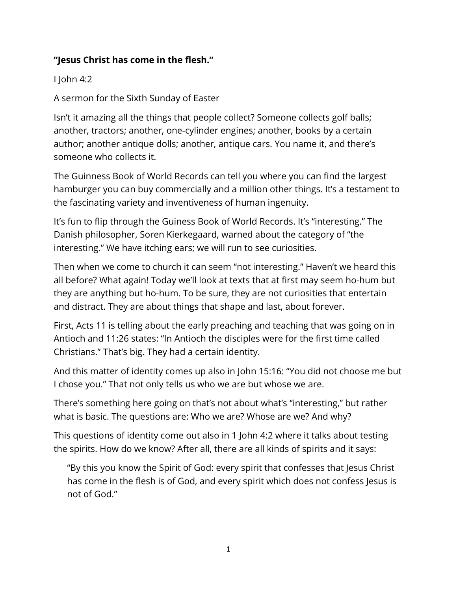## **"Jesus Christ has come in the flesh."**

I John 4:2

A sermon for the Sixth Sunday of Easter

Isn't it amazing all the things that people collect? Someone collects golf balls; another, tractors; another, one-cylinder engines; another, books by a certain author; another antique dolls; another, antique cars. You name it, and there's someone who collects it.

The Guinness Book of World Records can tell you where you can find the largest hamburger you can buy commercially and a million other things. It's a testament to the fascinating variety and inventiveness of human ingenuity.

It's fun to flip through the Guiness Book of World Records. It's "interesting." The Danish philosopher, Soren Kierkegaard, warned about the category of "the interesting." We have itching ears; we will run to see curiosities.

Then when we come to church it can seem "not interesting." Haven't we heard this all before? What again! Today we'll look at texts that at first may seem ho-hum but they are anything but ho-hum. To be sure, they are not curiosities that entertain and distract. They are about things that shape and last, about forever.

First, Acts 11 is telling about the early preaching and teaching that was going on in Antioch and 11:26 states: "In Antioch the disciples were for the first time called Christians." That's big. They had a certain identity.

And this matter of identity comes up also in John 15:16: "You did not choose me but I chose you." That not only tells us who we are but whose we are.

There's something here going on that's not about what's "interesting," but rather what is basic. The questions are: Who we are? Whose are we? And why?

This questions of identity come out also in 1 John 4:2 where it talks about testing the spirits. How do we know? After all, there are all kinds of spirits and it says:

"By this you know the Spirit of God: every spirit that confesses that Jesus Christ has come in the flesh is of God, and every spirit which does not confess Jesus is not of God."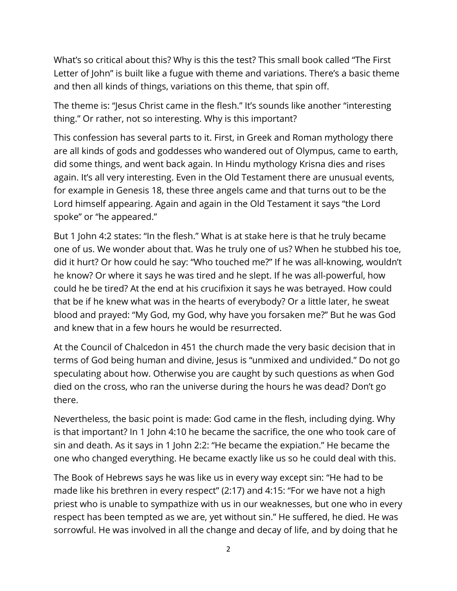What's so critical about this? Why is this the test? This small book called "The First Letter of John" is built like a fugue with theme and variations. There's a basic theme and then all kinds of things, variations on this theme, that spin off.

The theme is: "Jesus Christ came in the flesh." It's sounds like another "interesting thing." Or rather, not so interesting. Why is this important?

This confession has several parts to it. First, in Greek and Roman mythology there are all kinds of gods and goddesses who wandered out of Olympus, came to earth, did some things, and went back again. In Hindu mythology Krisna dies and rises again. It's all very interesting. Even in the Old Testament there are unusual events, for example in Genesis 18, these three angels came and that turns out to be the Lord himself appearing. Again and again in the Old Testament it says "the Lord spoke" or "he appeared."

But 1 John 4:2 states: "In the flesh." What is at stake here is that he truly became one of us. We wonder about that. Was he truly one of us? When he stubbed his toe, did it hurt? Or how could he say: "Who touched me?" If he was all-knowing, wouldn't he know? Or where it says he was tired and he slept. If he was all-powerful, how could he be tired? At the end at his crucifixion it says he was betrayed. How could that be if he knew what was in the hearts of everybody? Or a little later, he sweat blood and prayed: "My God, my God, why have you forsaken me?" But he was God and knew that in a few hours he would be resurrected.

At the Council of Chalcedon in 451 the church made the very basic decision that in terms of God being human and divine, Jesus is "unmixed and undivided." Do not go speculating about how. Otherwise you are caught by such questions as when God died on the cross, who ran the universe during the hours he was dead? Don't go there.

Nevertheless, the basic point is made: God came in the flesh, including dying. Why is that important? In 1 John 4:10 he became the sacrifice, the one who took care of sin and death. As it says in 1 John 2:2: "He became the expiation." He became the one who changed everything. He became exactly like us so he could deal with this.

The Book of Hebrews says he was like us in every way except sin: "He had to be made like his brethren in every respect" (2:17) and 4:15: "For we have not a high priest who is unable to sympathize with us in our weaknesses, but one who in every respect has been tempted as we are, yet without sin." He suffered, he died. He was sorrowful. He was involved in all the change and decay of life, and by doing that he